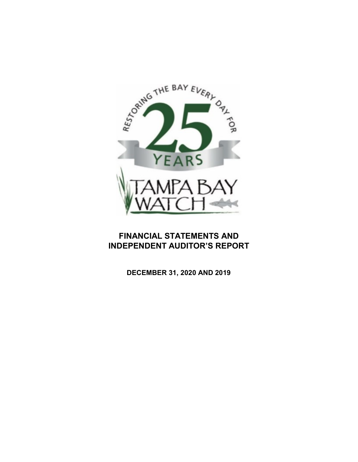

# FINANCIAL STATEMENTS AND INDEPENDENT AUDITOR'S REPORT

DECEMBER 31, 2020 AND 2019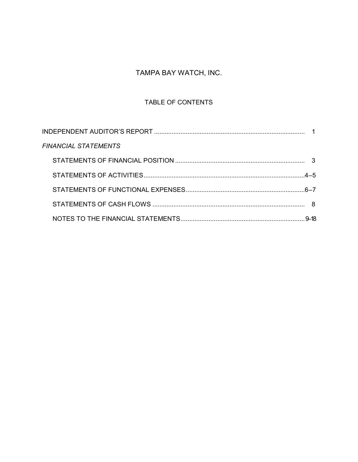# TAMPA BAY WATCH, INC.

# TABLE OF CONTENTS

| FINANCIAL STATEMENTS |  |
|----------------------|--|
|                      |  |
|                      |  |
|                      |  |
|                      |  |
|                      |  |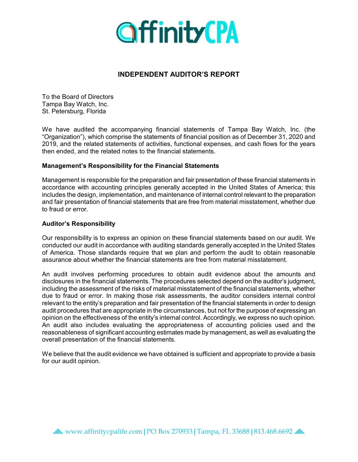

# INDEPENDENT AUDITOR'S REPORT

To the Board of Directors Tampa Bay Watch, Inc. St. Petersburg, Florida

We have audited the accompanying financial statements of Tampa Bay Watch, Inc. (the "Organization"), which comprise the statements of financial position as of December 31, 2020 and 2019, and the related statements of activities, functional expenses, and cash flows for the years then ended, and the related notes to the financial statements.

### Management's Responsibility for the Financial Statements

Management is responsible for the preparation and fair presentation of these financial statements in accordance with accounting principles generally accepted in the United States of America; this includes the design, implementation, and maintenance of internal control relevant to the preparation and fair presentation of financial statements that are free from material misstatement, whether due to fraud or error.

### Auditor's Responsibility

Our responsibility is to express an opinion on these financial statements based on our audit. We conducted our audit in accordance with auditing standards generally accepted in the United States of America. Those standards require that we plan and perform the audit to obtain reasonable assurance about whether the financial statements are free from material misstatement.

An audit involves performing procedures to obtain audit evidence about the amounts and disclosures in the financial statements. The procedures selected depend on the auditor's judgment, including the assessment of the risks of material misstatement of the financial statements, whether due to fraud or error. In making those risk assessments, the auditor considers internal control relevant to the entity's preparation and fair presentation of the financial statements in order to design audit procedures that are appropriate in the circumstances, but not for the purpose of expressing an opinion on the effectiveness of the entity's internal control. Accordingly, we express no such opinion. An audit also includes evaluating the appropriateness of accounting policies used and the reasonableness of significant accounting estimates made by management, as well as evaluating the overall presentation of the financial statements.

We believe that the audit evidence we have obtained is sufficient and appropriate to provide a basis for our audit opinion.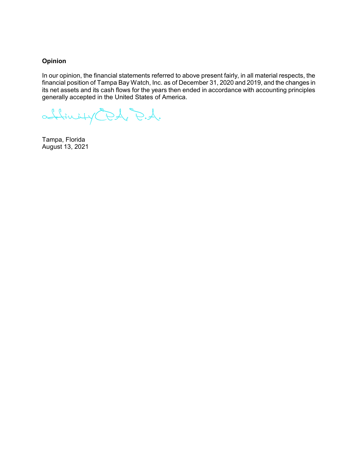#### Opinion

In our opinion, the financial statements referred to above present fairly, in all material respects, the financial position of Tampa Bay Watch, Inc. as of December 31, 2020 and 2019, and the changes in its net assets and its cash flows for the years then ended in accordance with accounting principles generally accepted in the United States of America.

allimity Od D.d.

Tampa, Florida August 13, 2021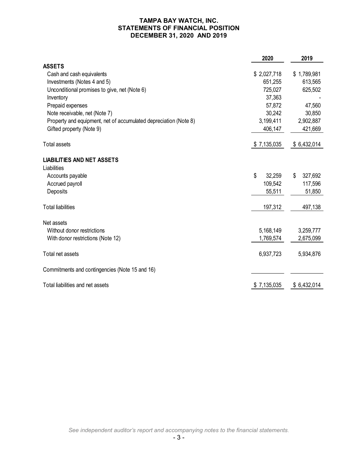# TAMPA BAY WATCH, INC. STATEMENTS OF FINANCIAL POSITION DECEMBER 31, 2020 AND 2019

| DECEMBER 31, 2020 AND 2019                                                                   | <b>STATEMENTS OF FINANCIAL POSITION</b> |                      |
|----------------------------------------------------------------------------------------------|-----------------------------------------|----------------------|
|                                                                                              | 2020                                    | 2019                 |
| <b>ASSETS</b>                                                                                |                                         |                      |
| Cash and cash equivalents                                                                    | \$2,027,718                             | \$1,789,981          |
| Investments (Notes 4 and 5)                                                                  | 651,255                                 | 613,565              |
| Unconditional promises to give, net (Note 6)                                                 | 725,027                                 | 625,502              |
| Inventory                                                                                    | 37,363                                  |                      |
| Prepaid expenses                                                                             | 57,872                                  | 47,560               |
| Note receivable, net (Note 7)                                                                | 30,242                                  | 30,850               |
| Property and equipment, net of accumulated depreciation (Note 8)<br>Gifted property (Note 9) | 3,199,411<br>406,147                    | 2,902,887<br>421,669 |
|                                                                                              |                                         |                      |
| Total assets                                                                                 | \$7,135,035                             | \$ 6,432,014         |
| <b>LIABILITIES AND NET ASSETS</b>                                                            |                                         |                      |
| Liabilities                                                                                  |                                         |                      |
| Accounts payable                                                                             | 32,259<br>\$                            | 327,692<br>\$        |
| Accrued payroll                                                                              | 109,542                                 | 117,596              |
| Deposits                                                                                     | 55,511                                  | 51,850               |
| <b>Total liabilities</b>                                                                     | 197,312                                 | 497,138              |
| Net assets                                                                                   |                                         |                      |
| Without donor restrictions                                                                   | 5,168,149                               | 3,259,777            |
| With donor restrictions (Note 12)                                                            | 1,769,574                               | 2,675,099            |
| Total net assets                                                                             | 6,937,723                               | 5,934,876            |
| Commitments and contingencies (Note 15 and 16)                                               |                                         |                      |
| Total liabilities and net assets                                                             | \$7,135,035                             | \$6,432,014          |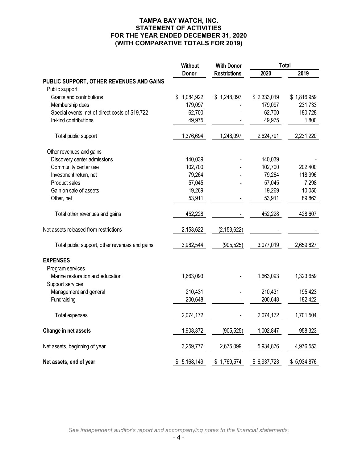### TAMPA BAY WATCH, INC. STATEMENT OF ACTIVITIES FOR THE YEAR ENDED DECEMBER 31, 2020 (WITH COMPARATIVE TOTALS FOR 2019)

| FOR THE YEAR ENDED DECEMBER 31, 2020<br>(WITH COMPARATIVE TOTALS FOR 2019) | TAMPA BAY WATCH, INC.<br><b>STATEMENT OF ACTIVITIES</b> |                     |             |              |
|----------------------------------------------------------------------------|---------------------------------------------------------|---------------------|-------------|--------------|
|                                                                            |                                                         |                     |             |              |
|                                                                            |                                                         |                     |             |              |
|                                                                            |                                                         |                     |             |              |
|                                                                            |                                                         |                     |             |              |
|                                                                            |                                                         |                     |             |              |
|                                                                            |                                                         |                     |             |              |
|                                                                            | <b>Without</b>                                          | <b>With Donor</b>   |             | <b>Total</b> |
|                                                                            | <b>Donor</b>                                            | <b>Restrictions</b> | 2020        | 2019         |
| PUBLIC SUPPORT, OTHER REVENUES AND GAINS                                   |                                                         |                     |             |              |
| Public support<br>Grants and contributions                                 | \$1,084,922                                             | \$1,248,097         | \$2,333,019 | \$1,816,959  |
|                                                                            | 179,097                                                 |                     |             |              |
| Membership dues                                                            |                                                         | $\blacksquare$      | 179,097     | 231,733      |
| Special events, net of direct costs of \$19,722<br>In-kind contributions   | 62,700                                                  |                     | 62,700      | 180,728      |
|                                                                            | 49,975                                                  |                     | 49,975      | 1,800        |
| Total public support                                                       | 1,376,694                                               | 1,248,097           | 2,624,791   | 2,231,220    |
| Other revenues and gains                                                   |                                                         |                     |             |              |
| Discovery center admissions                                                | 140,039                                                 |                     | 140,039     |              |
| Community center use                                                       | 102,700                                                 |                     | 102,700     | 202,400      |
| Investment return, net                                                     | 79,264                                                  |                     | 79,264      | 118,996      |
| Product sales                                                              | 57,045                                                  |                     | 57,045      | 7,298        |
| Gain on sale of assets                                                     | 19,269                                                  |                     | 19,269      | 10,050       |
| Other, net                                                                 | 53,911                                                  |                     | 53,911      | 89,863       |
| Total other revenues and gains                                             | 452,228                                                 |                     | 452,228     | 428,607      |
|                                                                            |                                                         |                     |             |              |
| Net assets released from restrictions                                      | 2,153,622                                               | (2, 153, 622)       |             |              |
| Total public support, other revenues and gains                             | 3,982,544                                               | (905, 525)          | 3,077,019   | 2,659,827    |
| <b>EXPENSES</b>                                                            |                                                         |                     |             |              |
| Program services                                                           |                                                         |                     |             |              |
| Marine restoration and education                                           | 1,663,093                                               | $\blacksquare$      | 1,663,093   | 1,323,659    |
| Support services                                                           |                                                         |                     |             |              |
| Management and general                                                     | 210,431                                                 |                     | 210,431     | 195,423      |
| Fundraising                                                                | 200,648                                                 |                     | 200,648     | 182,422      |
| Total expenses                                                             | 2,074,172                                               |                     | 2,074,172   | 1,701,504    |
| Change in net assets                                                       | 1,908,372                                               | (905, 525)          | 1,002,847   | 958,323      |
| Net assets, beginning of year                                              | 3,259,777                                               | 2,675,099           | 5,934,876   | 4,976,553    |
| Net assets, end of year                                                    | \$5,168,149                                             | \$1,769,574         | \$6,937,723 | \$5,934,876  |

See independent auditor's report and accompanying notes to the financial statements.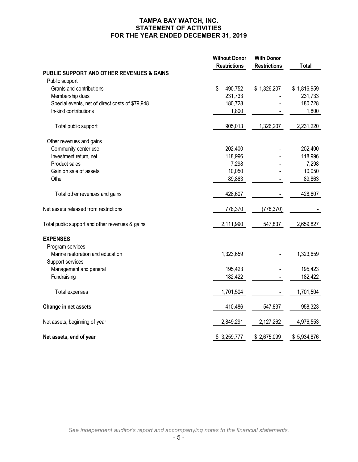# TAMPA BAY WATCH, INC. STATEMENT OF ACTIVITIES FOR THE YEAR ENDED DECEMBER 31, 2019

| TAMPA BAY WATCH, INC.<br><b>STATEMENT OF ACTIVITIES</b><br>FOR THE YEAR ENDED DECEMBER 31, 2019 |                      |                     |             |
|-------------------------------------------------------------------------------------------------|----------------------|---------------------|-------------|
|                                                                                                 | <b>Without Donor</b> | <b>With Donor</b>   |             |
| PUBLIC SUPPORT AND OTHER REVENUES & GAINS<br>Public support                                     | <b>Restrictions</b>  | <b>Restrictions</b> | Total       |
| Grants and contributions                                                                        | \$<br>490,752        | \$1,326,207         | \$1,816,959 |
| Membership dues                                                                                 | 231,733              | $\blacksquare$      | 231,733     |
| Special events, net of direct costs of \$79,948                                                 | 180,728              |                     | 180,728     |
| In-kind contributions                                                                           | 1,800                |                     | 1,800       |
| Total public support                                                                            | 905,013              | 1,326,207           | 2,231,220   |
| Other revenues and gains                                                                        |                      |                     |             |
| Community center use                                                                            | 202,400              |                     | 202,400     |
| Investment return, net                                                                          | 118,996              |                     | 118,996     |
| Product sales                                                                                   | 7,298                | $\blacksquare$      | 7,298       |
| Gain on sale of assets                                                                          | 10,050               |                     | 10,050      |
| Other                                                                                           | 89,863               |                     | 89,863      |
| Total other revenues and gains                                                                  | 428,607              |                     | 428,607     |
| Net assets released from restrictions                                                           | 778,370              | (778, 370)          |             |
| Total public support and other revenues & gains                                                 | 2,111,990            | 547,837             | 2,659,827   |
| <b>EXPENSES</b>                                                                                 |                      |                     |             |
| Program services<br>Marine restoration and education                                            | 1,323,659            |                     | 1,323,659   |
| Support services                                                                                |                      |                     |             |
| Management and general                                                                          | 195,423              |                     | 195,423     |
| Fundraising                                                                                     | 182,422              |                     | 182,422     |
| Total expenses                                                                                  | 1,701,504            |                     | 1,701,504   |
| Change in net assets                                                                            | 410,486              | 547,837             | 958,323     |
| Net assets, beginning of year                                                                   | 2,849,291            | 2,127,262           | 4,976,553   |
| Net assets, end of year                                                                         | \$3,259,777          | \$2,675,099         | \$5,934,876 |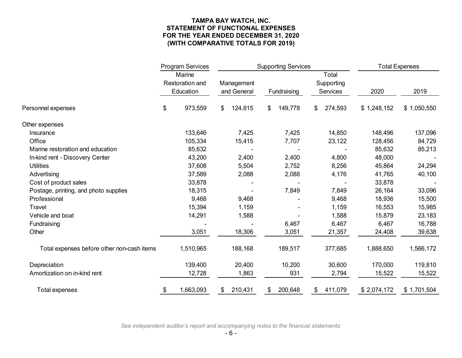### TAMPA BAY WATCH, INC. STATEMENT OF FUNCTIONAL EXPENSES FOR THE YEAR ENDED DECEMBER 31, 2020 (WITH COMPARATIVE TOTALS FOR 2019)

|                                                     |      | (WITH COMPARATIVE TOTALS FOR 2019) |                    | FOR THE YEAR ENDED DECEMBER 31, 2020 | <b>STATEMENT OF FUNCTIONAL EXPENSES</b> |                            |                          |                  |                                    |
|-----------------------------------------------------|------|------------------------------------|--------------------|--------------------------------------|-----------------------------------------|----------------------------|--------------------------|------------------|------------------------------------|
|                                                     |      | <b>Program Services</b><br>Marine  |                    |                                      |                                         | <b>Supporting Services</b> | Total                    |                  | <b>Total Expenses</b>              |
|                                                     |      | Restoration and<br>Education       |                    | Management<br>and General            |                                         | Fundraising                | Supporting<br>Services   | 2020             | 2019                               |
| Personnel expenses                                  | \$   | 973,559                            | \$                 | 124,815                              |                                         | \$149,778                  | \$274,593                | \$1,248,152      | \$1,050,550                        |
| Other expenses                                      |      |                                    |                    |                                      |                                         |                            |                          |                  |                                    |
| Insurance                                           |      | 133,646                            |                    | 7,425                                |                                         | 7,425                      | 14,850                   | 148,496          | 137,096                            |
| Office                                              |      | 105,334                            |                    | 15,415                               |                                         | 7,707                      | 23,122                   | 128,456          | 84,729                             |
| Marine restoration and education                    |      | 85,632                             |                    |                                      |                                         |                            |                          | 85,632           | 85,213                             |
| In-kind rent - Discovery Center<br><b>Utilities</b> |      | 43,200<br>37,608                   |                    | 2,400<br>5,504                       |                                         | 2,400<br>2,752             | 4,800<br>8,256           | 48,000<br>45,864 | $\overline{\phantom{a}}$<br>24,294 |
| Advertising                                         |      | 37,589                             |                    | 2,088                                |                                         | 2,088                      | 4,176                    | 41,765           | 40,100                             |
| Cost of product sales                               |      | 33,878                             |                    | $\overline{\phantom{a}}$             |                                         | $\overline{\phantom{a}}$   | $\overline{\phantom{a}}$ | 33,878           | $\blacksquare$                     |
| Postage, printing, and photo supplies               |      | 18,315                             |                    |                                      |                                         | 7,849                      | 7,849                    | 26,164           | 33,096                             |
| Professional                                        |      | 9,468                              |                    | 9,468                                |                                         |                            | 9,468                    | 18,936           | 15,500                             |
| Travel                                              |      | 15,394                             |                    | 1,159                                |                                         | $\overline{\phantom{a}}$   | 1,159                    | 16,553           | 15,985                             |
| Vehicle and boat                                    |      | 14,291                             |                    | 1,588                                |                                         |                            | 1,588                    | 15,879           | 23,183                             |
| Fundraising                                         |      |                                    |                    |                                      |                                         | 6,467                      | 6,467                    | 6,467            | 16,788                             |
| Other                                               |      | 3,051                              |                    | 18,306                               |                                         | 3,051                      | 21,357                   | 24,408           | 39,638                             |
| Total expenses before other non-cash items          |      | 1,510,965                          |                    | 188,168                              |                                         | 189,517                    | 377,685                  | 1,888,650        | 1,566,172                          |
| Depreciation                                        |      | 139,400                            |                    | 20,400                               |                                         | 10,200                     | 30,600                   | 170,000          | 119,810                            |
| Amortization on in-kind rent                        |      | 12,728                             |                    | 1,863                                |                                         | 931                        | 2,794                    | 15,522           | 15,522                             |
| Total expenses                                      | - \$ | 1,663,093                          | $\textcircled{\$}$ | 210,431                              | \$                                      | 200,648                    | \$411,079                | \$2,074,172      | \$1,701,504                        |

See independent auditor's report and accompanying notes to the financial statements.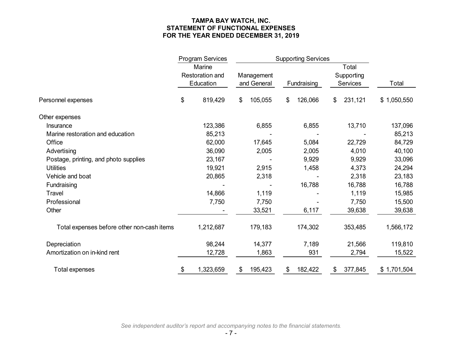### TAMPA BAY WATCH, INC. STATEMENT OF FUNCTIONAL EXPENSES FOR THE YEAR ENDED DECEMBER 31, 2019

|                                            |      | FOR THE YEAR ENDED DECEMBER 31, 2019 | STATEMENT OF FUNCTIONAL EXPENSES |                            |                            |                     |                  |
|--------------------------------------------|------|--------------------------------------|----------------------------------|----------------------------|----------------------------|---------------------|------------------|
|                                            |      | <b>Program Services</b>              |                                  |                            | <b>Supporting Services</b> |                     |                  |
|                                            |      | Marine<br>Restoration and            | Management                       |                            |                            | Total<br>Supporting |                  |
|                                            |      | Education                            | and General                      |                            | Fundraising                | Services            | Total            |
| Personnel expenses                         | \$   | 819,429                              | \$<br>105,055                    | \$                         | 126,066                    | 231,121<br>\$       | \$1,050,550      |
| Other expenses                             |      |                                      |                                  |                            |                            |                     |                  |
| Insurance                                  |      | 123,386                              | 6,855                            |                            | 6,855                      | 13,710              | 137,096          |
| Marine restoration and education           |      | 85,213                               |                                  |                            |                            |                     | 85,213           |
| Office                                     |      | 62,000                               | 17,645                           |                            | 5,084                      | 22,729              | 84,729           |
| Advertising                                |      | 36,090                               | 2,005                            |                            | 2,005                      | 4,010               | 40,100           |
| Postage, printing, and photo supplies      |      | 23,167                               |                                  |                            | 9,929                      | 9,929               | 33,096           |
| <b>Utilities</b>                           |      | 19,921                               | 2,915                            |                            | 1,458                      | 4,373               | 24,294           |
| Vehicle and boat<br>Fundraising            |      | 20,865                               | 2,318                            |                            | 16,788                     | 2,318<br>16,788     | 23,183<br>16,788 |
| Travel                                     |      | 14,866                               | 1,119                            |                            |                            | 1,119               | 15,985           |
| Professional                               |      | 7,750                                | 7,750                            |                            |                            | 7,750               | 15,500           |
| Other                                      |      |                                      | 33,521                           |                            | 6,117                      | 39,638              | 39,638           |
|                                            |      |                                      |                                  |                            |                            |                     |                  |
| Total expenses before other non-cash items |      | 1,212,687                            | 179,183                          |                            | 174,302                    | 353,485             | 1,566,172        |
| Depreciation                               |      | 98,244                               | 14,377                           |                            | 7,189                      | 21,566              | 119,810          |
| Amortization on in-kind rent               |      | 12,728                               | 1,863                            |                            | 931                        | 2,794               | 15,522           |
| Total expenses                             | - \$ | 1,323,659                            | \$<br>195,423                    | $\boldsymbol{\mathsf{\$}}$ | 182,422                    | 377,845<br>\$       | \$1,701,504      |

See independent auditor's report and accompanying notes to the financial statements.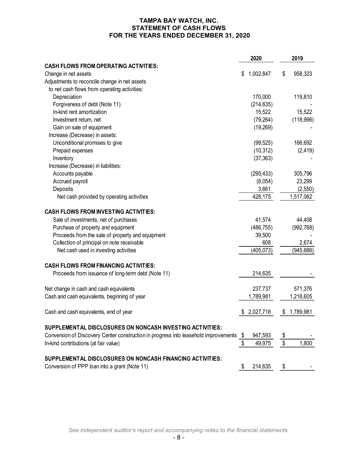### TAMPA BAY WATCH, INC. STATEMENT OF CASH FLOWS FOR THE YEARS ENDED DECEMBER 31, 2020

|                                                                                        | FOR THE YEARS ENDED DECEMBER 31, 2020 |               |
|----------------------------------------------------------------------------------------|---------------------------------------|---------------|
|                                                                                        | 2020                                  | 2019          |
| <b>CASH FLOWS FROM OPERATING ACTIVITIES:</b>                                           |                                       |               |
| Change in net assets                                                                   | 1,002,847<br>\$                       | 958,323<br>\$ |
| Adjustments to reconcile change in net assets                                          |                                       |               |
| to net cash flows from operating activities:                                           | 170,000                               | 119,810       |
| Depreciation<br>Forgiveness of debt (Note 11)                                          | (214, 635)                            |               |
| In-kind rent amortization                                                              | 15,522                                | 15,522        |
| Investment return, net                                                                 | (79, 264)                             | (118,996)     |
| Gain on sale of equipment                                                              | (19, 269)                             |               |
| Increase (Decrease) in assets:                                                         |                                       |               |
| Unconditional promises to give                                                         | (99, 525)                             | 166,692       |
| Prepaid expenses                                                                       | (10, 312)                             | (2, 419)      |
| Inventory                                                                              | (37, 363)                             |               |
| Increase (Decrease) in liabilities:                                                    |                                       |               |
| Accounts payable                                                                       | (295, 433)                            | 305,796       |
| Accrued payroll                                                                        | (8,054)                               | 23,299        |
| Deposits                                                                               | 3,661                                 | (2,550)       |
| Net cash provided by operating activities                                              | 428,175                               | 1,517,062     |
| <b>CASH FLOWS FROM INVESTING ACTIVITIES:</b>                                           |                                       |               |
| Sale of investments, net of purchases                                                  | 41,574                                | 44,408        |
| Purchase of property and equipment                                                     | (486, 755)                            | (992, 768)    |
| Proceeds from the sale of property and equipment                                       | 39,500                                |               |
| Collection of principal on note receivable                                             | 608                                   | 2,674         |
| Net cash used in investing activities                                                  | (405, 073)                            | (945, 686)    |
|                                                                                        |                                       |               |
| <b>CASH FLOWS FROM FINANCING ACTIVITIES:</b>                                           |                                       |               |
| Proceeds from issuance of long-term debt (Note 11)                                     | 214,635                               |               |
|                                                                                        |                                       |               |
| Net change in cash and cash equivalents                                                | 237,737                               | 571,376       |
| Cash and cash equivalents, beginning of year                                           | 1,789,981                             | 1,218,605     |
| Cash and cash equivalents, end of year                                                 | 2,027,718<br>\$                       | \$1,789,981   |
|                                                                                        |                                       |               |
| SUPPLEMENTAL DISCLOSURES ON NONCASH INVESTING ACTIVITIES:                              |                                       |               |
| Conversion of Discovery Center construction in progress into leasehold improvements \$ | 947,593                               | \$            |
| In-kind contributions (at fair value)                                                  | \$<br>49,975                          | $\,$<br>1,800 |
|                                                                                        |                                       |               |
| SUPPLEMENTAL DISCLOSURES ON NONCASH FINANCING ACTIVITIES:                              |                                       |               |
| Conversion of PPP loan into a grant (Note 11)                                          | 214,635<br>S                          | \$            |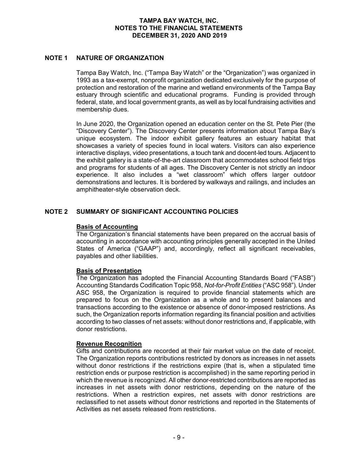### NOTE 1 NATURE OF ORGANIZATION

Tampa Bay Watch, Inc. ("Tampa Bay Watch" or the "Organization") was organized in 1993 as a tax-exempt, nonprofit organization dedicated exclusively for the purpose of protection and restoration of the marine and wetland environments of the Tampa Bay estuary through scientific and educational programs. Funding is provided through federal, state, and local government grants, as well as by local fundraising activities and membership dues.

In June 2020, the Organization opened an education center on the St. Pete Pier (the "Discovery Center"). The Discovery Center presents information about Tampa Bay's unique ecosystem. The indoor exhibit gallery features an estuary habitat that showcases a variety of species found in local waters. Visitors can also experience interactive displays, video presentations, a touch tank and docent-led tours. Adjacent to the exhibit gallery is a state-of-the-art classroom that accommodates school field trips and programs for students of all ages. The Discovery Center is not strictly an indoor experience. It also includes a "wet classroom" which offers larger outdoor demonstrations and lectures. It is bordered by walkways and railings, and includes an amphitheater-style observation deck.

### NOTE 2 SUMMARY OF SIGNIFICANT ACCOUNTING POLICIES

#### Basis of Accounting

The Organization's financial statements have been prepared on the accrual basis of accounting in accordance with accounting principles generally accepted in the United States of America ("GAAP") and, accordingly, reflect all significant receivables, payables and other liabilities.

#### Basis of Presentation

The Organization has adopted the Financial Accounting Standards Board ("FASB") Accounting Standards Codification Topic 958, Not-for-Profit Entities ("ASC 958"). Under ASC 958, the Organization is required to provide financial statements which are prepared to focus on the Organization as a whole and to present balances and transactions according to the existence or absence of donor-imposed restrictions. As such, the Organization reports information regarding its financial position and activities according to two classes of net assets: without donor restrictions and, if applicable, with donor restrictions.

#### Revenue Recognition

Gifts and contributions are recorded at their fair market value on the date of receipt. The Organization reports contributions restricted by donors as increases in net assets without donor restrictions if the restrictions expire (that is, when a stipulated time restriction ends or purpose restriction is accomplished) in the same reporting period in which the revenue is recognized. All other donor-restricted contributions are reported as increases in net assets with donor restrictions, depending on the nature of the restrictions. When a restriction expires, net assets with donor restrictions are reclassified to net assets without donor restrictions and reported in the Statements of Activities as net assets released from restrictions.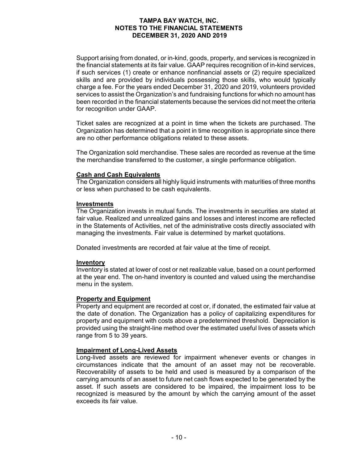Support arising from donated, or in-kind, goods, property, and services is recognized in the financial statements at its fair value. GAAP requires recognition of in-kind services, if such services (1) create or enhance nonfinancial assets or (2) require specialized skills and are provided by individuals possessing those skills, who would typically charge a fee. For the years ended December 31, 2020 and 2019, volunteers provided services to assist the Organization's and fundraising functions for which no amount has been recorded in the financial statements because the services did not meet the criteria for recognition under GAAP.

Ticket sales are recognized at a point in time when the tickets are purchased. The Organization has determined that a point in time recognition is appropriate since there are no other performance obligations related to these assets.

The Organization sold merchandise. These sales are recorded as revenue at the time the merchandise transferred to the customer, a single performance obligation.

### Cash and Cash Equivalents

The Organization considers all highly liquid instruments with maturities of three months or less when purchased to be cash equivalents.

#### Investments

The Organization invests in mutual funds. The investments in securities are stated at fair value. Realized and unrealized gains and losses and interest income are reflected in the Statements of Activities, net of the administrative costs directly associated with managing the investments. Fair value is determined by market quotations.

Donated investments are recorded at fair value at the time of receipt.

#### Inventory

Inventory is stated at lower of cost or net realizable value, based on a count performed at the year end. The on-hand inventory is counted and valued using the merchandise menu in the system.

#### Property and Equipment

Property and equipment are recorded at cost or, if donated, the estimated fair value at the date of donation. The Organization has a policy of capitalizing expenditures for property and equipment with costs above a predetermined threshold. Depreciation is provided using the straight-line method over the estimated useful lives of assets which range from 5 to 39 years.

#### Impairment of Long-Lived Assets

Long-lived assets are reviewed for impairment whenever events or changes in circumstances indicate that the amount of an asset may not be recoverable. Recoverability of assets to be held and used is measured by a comparison of the carrying amounts of an asset to future net cash flows expected to be generated by the asset. If such assets are considered to be impaired, the impairment loss to be recognized is measured by the amount by which the carrying amount of the asset exceeds its fair value.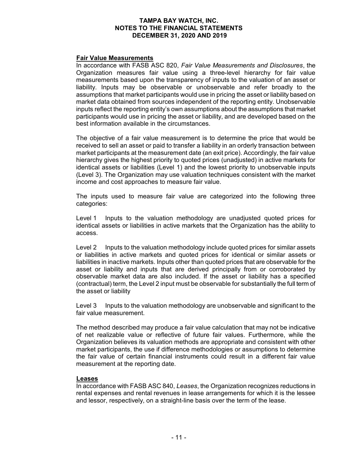#### Fair Value Measurements

In accordance with FASB ASC 820, Fair Value Measurements and Disclosures, the Organization measures fair value using a three-level hierarchy for fair value measurements based upon the transparency of inputs to the valuation of an asset or liability. Inputs may be observable or unobservable and refer broadly to the assumptions that market participants would use in pricing the asset or liability based on market data obtained from sources independent of the reporting entity. Unobservable inputs reflect the reporting entity's own assumptions about the assumptions that market participants would use in pricing the asset or liability, and are developed based on the best information available in the circumstances.

The objective of a fair value measurement is to determine the price that would be received to sell an asset or paid to transfer a liability in an orderly transaction between market participants at the measurement date (an exit price). Accordingly, the fair value hierarchy gives the highest priority to quoted prices (unadjusted) in active markets for identical assets or liabilities (Level 1) and the lowest priority to unobservable inputs (Level 3). The Organization may use valuation techniques consistent with the market income and cost approaches to measure fair value.

The inputs used to measure fair value are categorized into the following three categories:

Level 1 Inputs to the valuation methodology are unadjusted quoted prices for identical assets or liabilities in active markets that the Organization has the ability to access.

Level 2 Inputs to the valuation methodology include quoted prices for similar assets or liabilities in active markets and quoted prices for identical or similar assets or liabilities in inactive markets. Inputs other than quoted prices that are observable for the asset or liability and inputs that are derived principally from or corroborated by observable market data are also included. If the asset or liability has a specified (contractual) term, the Level 2 input must be observable for substantially the full term of the asset or liability

Level 3 Inputs to the valuation methodology are unobservable and significant to the fair value measurement.

The method described may produce a fair value calculation that may not be indicative of net realizable value or reflective of future fair values. Furthermore, while the Organization believes its valuation methods are appropriate and consistent with other market participants, the use if difference methodologies or assumptions to determine the fair value of certain financial instruments could result in a different fair value measurement at the reporting date.

#### Leases

In accordance with FASB ASC 840, Leases, the Organization recognizes reductions in rental expenses and rental revenues in lease arrangements for which it is the lessee and lessor, respectively, on a straight-line basis over the term of the lease.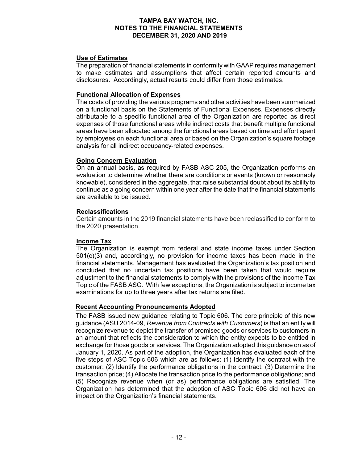### Use of Estimates

The preparation of financial statements in conformity with GAAP requires management to make estimates and assumptions that affect certain reported amounts and disclosures. Accordingly, actual results could differ from those estimates.

#### Functional Allocation of Expenses

The costs of providing the various programs and other activities have been summarized on a functional basis on the Statements of Functional Expenses. Expenses directly attributable to a specific functional area of the Organization are reported as direct expenses of those functional areas while indirect costs that benefit multiple functional areas have been allocated among the functional areas based on time and effort spent by employees on each functional area or based on the Organization's square footage analysis for all indirect occupancy-related expenses.

### Going Concern Evaluation

On an annual basis, as required by FASB ASC 205, the Organization performs an evaluation to determine whether there are conditions or events (known or reasonably knowable), considered in the aggregate, that raise substantial doubt about its ability to continue as a going concern within one year after the date that the financial statements are available to be issued.

#### Reclassifications

Certain amounts in the 2019 financial statements have been reclassified to conform to the 2020 presentation.

#### Income Tax

The Organization is exempt from federal and state income taxes under Section 501(c)(3) and, accordingly, no provision for income taxes has been made in the financial statements. Management has evaluated the Organization's tax position and concluded that no uncertain tax positions have been taken that would require adjustment to the financial statements to comply with the provisions of the Income Tax Topic of the FASB ASC. With few exceptions, the Organization is subject to income tax examinations for up to three years after tax returns are filed.

### Recent Accounting Pronouncements Adopted

The FASB issued new guidance relating to Topic 606. The core principle of this new guidance (ASU 2014-09, Revenue from Contracts with Customers) is that an entity will recognize revenue to depict the transfer of promised goods or services to customers in an amount that reflects the consideration to which the entity expects to be entitled in exchange for those goods or services. The Organization adopted this guidance on as of January 1, 2020. As part of the adoption, the Organization has evaluated each of the five steps of ASC Topic 606 which are as follows: (1) Identify the contract with the customer; (2) Identify the performance obligations in the contract; (3) Determine the transaction price; (4) Allocate the transaction price to the performance obligations; and (5) Recognize revenue when (or as) performance obligations are satisfied. The Organization has determined that the adoption of ASC Topic 606 did not have an impact on the Organization's financial statements.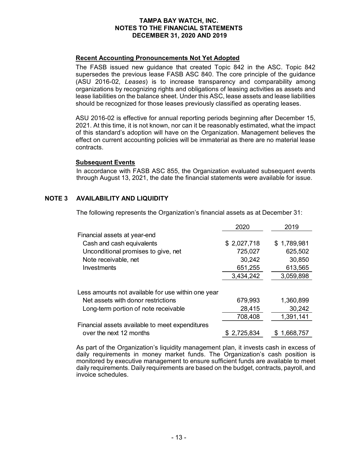### Recent Accounting Pronouncements Not Yet Adopted

The FASB issued new guidance that created Topic 842 in the ASC. Topic 842 supersedes the previous lease FASB ASC 840. The core principle of the guidance (ASU 2016-02, Leases) is to increase transparency and comparability among organizations by recognizing rights and obligations of leasing activities as assets and lease liabilities on the balance sheet. Under this ASC, lease assets and lease liabilities should be recognized for those leases previously classified as operating leases.

#### Subsequent Events

# NOTE 3 AVAILABILITY AND LIQUIDITY

| supersedes the previous lease $r$ and $r$ and $r$ and $r$ interval principle of the quidance<br>(ASU 2016-02, Leases) is to increase transparency and comparability among<br>organizations by recognizing rights and obligations of leasing activities as assets and<br>lease liabilities on the balance sheet. Under this ASC, lease assets and lease liabilities<br>should be recognized for those leases previously classified as operating leases. |                   |                   |  |
|--------------------------------------------------------------------------------------------------------------------------------------------------------------------------------------------------------------------------------------------------------------------------------------------------------------------------------------------------------------------------------------------------------------------------------------------------------|-------------------|-------------------|--|
| ASU 2016-02 is effective for annual reporting periods beginning after December 15,<br>2021. At this time, it is not known, nor can it be reasonably estimated, what the impact<br>of this standard's adoption will have on the Organization. Management believes the<br>effect on current accounting policies will be immaterial as there are no material lease<br>contracts.                                                                          |                   |                   |  |
| <b>Subsequent Events</b><br>In accordance with FASB ASC 855, the Organization evaluated subsequent events<br>through August 13, 2021, the date the financial statements were available for issue.                                                                                                                                                                                                                                                      |                   |                   |  |
| <b>AVAILABILITY AND LIQUIDITY</b>                                                                                                                                                                                                                                                                                                                                                                                                                      |                   |                   |  |
| The following represents the Organization's financial assets as at December 31:                                                                                                                                                                                                                                                                                                                                                                        |                   |                   |  |
|                                                                                                                                                                                                                                                                                                                                                                                                                                                        | 2020              | 2019              |  |
| Financial assets at year-end                                                                                                                                                                                                                                                                                                                                                                                                                           |                   |                   |  |
| Cash and cash equivalents                                                                                                                                                                                                                                                                                                                                                                                                                              | \$2,027,718       | \$1,789,981       |  |
| Unconditional promises to give, net<br>Note receivable, net                                                                                                                                                                                                                                                                                                                                                                                            | 725,027<br>30,242 | 625,502<br>30,850 |  |
| Investments                                                                                                                                                                                                                                                                                                                                                                                                                                            | 651,255           | 613,565           |  |
|                                                                                                                                                                                                                                                                                                                                                                                                                                                        | 3,434,242         | 3,059,898         |  |
| Less amounts not available for use within one year                                                                                                                                                                                                                                                                                                                                                                                                     |                   |                   |  |
| Net assets with donor restrictions                                                                                                                                                                                                                                                                                                                                                                                                                     | 679,993           | 1,360,899         |  |
| Long-term portion of note receivable                                                                                                                                                                                                                                                                                                                                                                                                                   | 28,415            | 30,242            |  |
|                                                                                                                                                                                                                                                                                                                                                                                                                                                        | 708,408           | 1,391,141         |  |
| Financial assets available to meet expenditures                                                                                                                                                                                                                                                                                                                                                                                                        |                   |                   |  |
| over the next 12 months                                                                                                                                                                                                                                                                                                                                                                                                                                | \$2,725,834       | \$1,668,757       |  |
| As part of the Organization's liquidity management plan, it invests cash in excess of<br>daily requirements in money market funds. The Organization's cash position is<br>monitored by executive management to ensure sufficient funds are available to meet<br>daily requirements. Daily requirements are based on the budget, contracts, payroll, and                                                                                                |                   |                   |  |

As part of the Organization's liquidity management plan, it invests cash in excess of daily requirements in money market funds. The Organization's cash position is monitored by executive management to ensure sufficient funds are available to meet daily requirements. Daily requirements are based on the budget, contracts, payroll, and invoice schedules.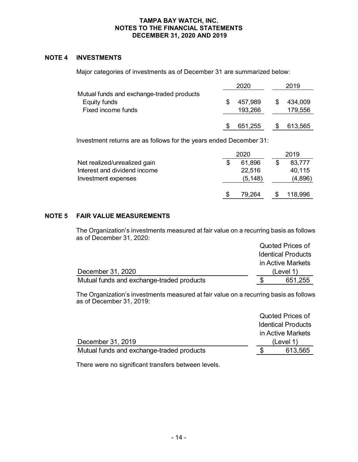# NOTE 4 INVESTMENTS

| TAMPA BAY WATCH, INC.<br><b>NOTES TO THE FINANCIAL STATEMENTS</b><br>DECEMBER 31, 2020 AND 2019 |               |                |         |
|-------------------------------------------------------------------------------------------------|---------------|----------------|---------|
| <b>INVESTMENTS</b>                                                                              |               |                |         |
| Major categories of investments as of December 31 are summarized below:                         |               |                |         |
|                                                                                                 | 2020          |                | 2019    |
| Mutual funds and exchange-traded products                                                       |               |                |         |
| Equity funds                                                                                    | \$<br>457,989 | \$             | 434,009 |
| Fixed income funds                                                                              | 193,266       |                | 179,556 |
|                                                                                                 | \$<br>651,255 | \$             | 613,565 |
| nvestment returns are as follows for the years ended December 31:                               |               |                |         |
|                                                                                                 | 2020          |                | 2019    |
| Net realized/unrealized gain                                                                    | \$<br>61,896  | $\mathfrak{L}$ | 83,777  |
| Interest and dividend income                                                                    | 22,516        |                | 40,115  |
| Investment expenses                                                                             | (5, 148)      |                | (4,896) |
|                                                                                                 |               |                |         |

| TAMPA BAY WATCH, INC.<br><b>NOTES TO THE FINANCIAL STATEMENTS</b><br>DECEMBER 31, 2020 AND 2019                   |                          |                           |                    |
|-------------------------------------------------------------------------------------------------------------------|--------------------------|---------------------------|--------------------|
| <b>INVESTMENTS</b>                                                                                                |                          |                           |                    |
| Major categories of investments as of December 31 are summarized below:                                           |                          |                           |                    |
|                                                                                                                   | 2020                     |                           | 2019               |
| Mutual funds and exchange-traded products<br><b>Equity funds</b><br>Fixed income funds                            | 457,989<br>\$<br>193,266 | \$                        | 434,009<br>179,556 |
|                                                                                                                   | 651,255<br>\$            | \$                        | 613,565            |
| Investment returns are as follows for the years ended December 31:                                                |                          |                           |                    |
|                                                                                                                   | 2020                     |                           | 2019               |
| Net realized/unrealized gain                                                                                      | 61,896<br>\$             | \$                        | 83,777             |
| Interest and dividend income                                                                                      | 22,516                   |                           | 40,115             |
| Investment expenses                                                                                               | (5, 148)                 |                           | (4,896)            |
|                                                                                                                   | 79,264<br>\$             | \$                        | 118,996            |
|                                                                                                                   |                          |                           |                    |
| <b>FAIR VALUE MEASUREMENTS</b>                                                                                    |                          |                           |                    |
| The Organization's investments measured at fair value on a recurring basis as follows<br>as of December 31, 2020: |                          |                           |                    |
|                                                                                                                   |                          | Quoted Prices of          |                    |
|                                                                                                                   |                          | <b>Identical Products</b> |                    |
|                                                                                                                   |                          | in Active Markets         |                    |
| December 31, 2020                                                                                                 |                          |                           | (Level 1)          |
| Mutual funds and exchange-traded products                                                                         |                          | \$                        | 651,255            |
| The Organization's investments measured at fair value on a recurring basis as follows<br>as of December 31, 2019: |                          |                           |                    |
|                                                                                                                   |                          | Quoted Prices of          |                    |

# NOTE 5 FAIR VALUE MEASUREMENTS

|                                           | Quoted Prices of          |
|-------------------------------------------|---------------------------|
|                                           | <b>Identical Products</b> |
|                                           | in Active Markets         |
| December 31, 2020                         | (Level 1)                 |
| Mutual funds and exchange-traded products | 651,255                   |

| \$                                                                                                                | 79,264 | S             | 118,996                   |
|-------------------------------------------------------------------------------------------------------------------|--------|---------------|---------------------------|
| <b>FAIR VALUE MEASUREMENTS</b>                                                                                    |        |               |                           |
| The Organization's investments measured at fair value on a recurring basis as follows<br>as of December 31, 2020: |        |               |                           |
|                                                                                                                   |        |               | Quoted Prices of          |
|                                                                                                                   |        |               | <b>Identical Products</b> |
|                                                                                                                   |        |               | in Active Markets         |
| December 31, 2020                                                                                                 |        |               | (Level 1)                 |
| Mutual funds and exchange-traded products                                                                         |        | $\frac{1}{2}$ | 651,255                   |
| The Organization's investments measured at fair value on a recurring basis as follows<br>as of December 31, 2019: |        |               |                           |
|                                                                                                                   |        |               | Quoted Prices of          |
|                                                                                                                   |        |               | <b>Identical Products</b> |
|                                                                                                                   |        |               | in Active Markets         |
| December 31, 2019                                                                                                 |        |               | (Level 1)                 |
| Mutual funds and exchange-traded products                                                                         |        | \$            | 613,565                   |
|                                                                                                                   |        |               |                           |
| There were no significant transfers between levels.                                                               |        |               |                           |
|                                                                                                                   |        |               |                           |
|                                                                                                                   |        |               |                           |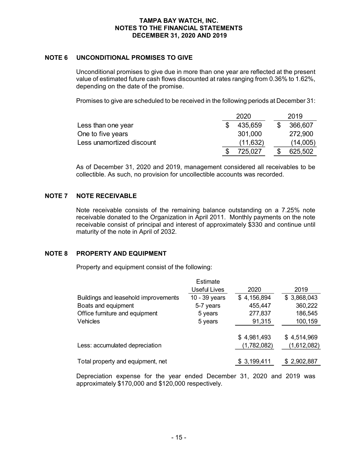### NOTE 6 UNCONDITIONAL PROMISES TO GIVE

| <b>TAMPA BAY WATCH, INC.</b><br><b>NOTES TO THE FINANCIAL STATEMENTS</b><br><b>DECEMBER 31, 2020 AND 2019</b>                                                                                                           |                       |                                 |
|-------------------------------------------------------------------------------------------------------------------------------------------------------------------------------------------------------------------------|-----------------------|---------------------------------|
| UNCONDITIONAL PROMISES TO GIVE                                                                                                                                                                                          |                       |                                 |
|                                                                                                                                                                                                                         |                       |                                 |
| Unconditional promises to give due in more than one year are reflected at the present<br>value of estimated future cash flows discounted at rates ranging from 0.36% to 1.62%,<br>depending on the date of the promise. |                       |                                 |
| Promises to give are scheduled to be received in the following periods at December 31:                                                                                                                                  |                       |                                 |
|                                                                                                                                                                                                                         | 2020<br>\$<br>435,659 | 2019<br>$\mathbb{S}$<br>366,607 |
| Less than one year<br>One to five years                                                                                                                                                                                 | 301,000               | 272,900                         |
| Less unamortized discount                                                                                                                                                                                               | (11, 632)             | (14,005)                        |

### NOTE 7 NOTE RECEIVABLE

### NOTE 8 PROPERTY AND EQUIPMENT

| Less unamortized discount                                                                                                                                                                                                                                                                               |                     | (11, 632)   | (14,005)      |
|---------------------------------------------------------------------------------------------------------------------------------------------------------------------------------------------------------------------------------------------------------------------------------------------------------|---------------------|-------------|---------------|
|                                                                                                                                                                                                                                                                                                         | \$                  | 725,027     | 625,502<br>\$ |
| As of December 31, 2020 and 2019, management considered all receivables to be<br>collectible. As such, no provision for uncollectible accounts was recorded.                                                                                                                                            |                     |             |               |
| <b>NOTE RECEIVABLE</b>                                                                                                                                                                                                                                                                                  |                     |             |               |
| Note receivable consists of the remaining balance outstanding on a 7.25% note<br>receivable donated to the Organization in April 2011. Monthly payments on the note<br>receivable consist of principal and interest of approximately \$330 and continue until<br>maturity of the note in April of 2032. |                     |             |               |
| <b>PROPERTY AND EQUIPMENT</b>                                                                                                                                                                                                                                                                           |                     |             |               |
| Property and equipment consist of the following:                                                                                                                                                                                                                                                        |                     |             |               |
|                                                                                                                                                                                                                                                                                                         | <b>Estimate</b>     |             |               |
|                                                                                                                                                                                                                                                                                                         | <b>Useful Lives</b> | 2020        | 2019          |
| Buildings and leasehold improvements                                                                                                                                                                                                                                                                    | 10 - 39 years       | \$4,156,894 | \$3,868,043   |
| Boats and equipment                                                                                                                                                                                                                                                                                     | 5-7 years           | 455,447     | 360,222       |
| Office furniture and equipment                                                                                                                                                                                                                                                                          | 5 years             | 277,837     | 186,545       |
| Vehicles                                                                                                                                                                                                                                                                                                | 5 years             | 91,315      | 100,159       |
|                                                                                                                                                                                                                                                                                                         |                     | \$4,981,493 | \$4,514,969   |
| Less: accumulated depreciation                                                                                                                                                                                                                                                                          |                     | (1,782,082) | (1,612,082)   |
| Total property and equipment, net                                                                                                                                                                                                                                                                       |                     | \$3,199,411 | \$2,902,887   |
| Depreciation expense for the year ended December 31, 2020 and 2019 was<br>approximately \$170,000 and \$120,000 respectively.                                                                                                                                                                           |                     |             |               |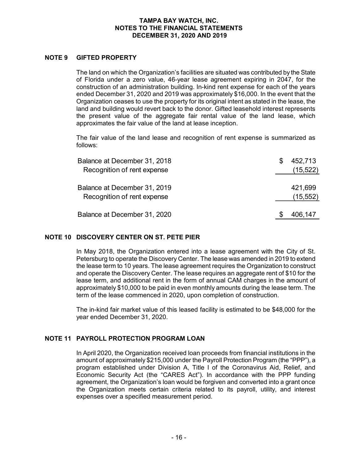### NOTE 9 GIFTED PROPERTY

| <b>TAMPA BAY WATCH, INC.</b><br><b>NOTES TO THE FINANCIAL STATEMENTS</b><br>DECEMBER 31, 2020 AND 2019                                                                                                                                                                                                                                                                                                                                                                                                                                                                                                                                                                                                 |                            |
|--------------------------------------------------------------------------------------------------------------------------------------------------------------------------------------------------------------------------------------------------------------------------------------------------------------------------------------------------------------------------------------------------------------------------------------------------------------------------------------------------------------------------------------------------------------------------------------------------------------------------------------------------------------------------------------------------------|----------------------------|
| <b>GIFTED PROPERTY</b>                                                                                                                                                                                                                                                                                                                                                                                                                                                                                                                                                                                                                                                                                 |                            |
| The land on which the Organization's facilities are situated was contributed by the State<br>of Florida under a zero value, 46-year lease agreement expiring in 2047, for the<br>construction of an administration building. In-kind rent expense for each of the years<br>ended December 31, 2020 and 2019 was approximately \$16,000. In the event that the<br>Organization ceases to use the property for its original intent as stated in the lease, the<br>land and building would revert back to the donor. Gifted leasehold interest represents<br>the present value of the aggregate fair rental value of the land lease, which<br>approximates the fair value of the land at lease inception. |                            |
| The fair value of the land lease and recognition of rent expense is summarized as<br>follows:                                                                                                                                                                                                                                                                                                                                                                                                                                                                                                                                                                                                          |                            |
| Balance at December 31, 2018<br>Recognition of rent expense                                                                                                                                                                                                                                                                                                                                                                                                                                                                                                                                                                                                                                            | \$<br>452,713<br>(15, 522) |
| Balance at December 31, 2019<br>Recognition of rent expense                                                                                                                                                                                                                                                                                                                                                                                                                                                                                                                                                                                                                                            | 421,699<br>(15, 552)       |
| Balance at December 31, 2020                                                                                                                                                                                                                                                                                                                                                                                                                                                                                                                                                                                                                                                                           | 406,147<br>\$.             |
| <b>DISCOVERY CENTER ON ST. PETE PIER</b>                                                                                                                                                                                                                                                                                                                                                                                                                                                                                                                                                                                                                                                               |                            |
| In May 2018, the Organization entered into a lease agreement with the City of St                                                                                                                                                                                                                                                                                                                                                                                                                                                                                                                                                                                                                       |                            |

### NOTE 10 DISCOVERY CENTER ON ST. PETE PIER

In May 2018, the Organization entered into a lease agreement with the City of St. Petersburg to operate the Discovery Center. The lease was amended in 2019 to extend the lease term to 10 years. The lease agreement requires the Organization to construct and operate the Discovery Center. The lease requires an aggregate rent of \$10 for the lease term, and additional rent in the form of annual CAM charges in the amount of approximately \$10,000 to be paid in even monthly amounts during the lease term. The term of the lease commenced in 2020, upon completion of construction.

The in-kind fair market value of this leased facility is estimated to be \$48,000 for the year ended December 31, 2020.

### NOTE 11 PAYROLL PROTECTION PROGRAM LOAN

In April 2020, the Organization received loan proceeds from financial institutions in the amount of approximately \$215,000 under the Payroll Protection Program (the "PPP"), a program established under Division A, Title I of the Coronavirus Aid, Relief, and Economic Security Act (the "CARES Act"). In accordance with the PPP funding agreement, the Organization's loan would be forgiven and converted into a grant once the Organization meets certain criteria related to its payroll, utility, and interest expenses over a specified measurement period.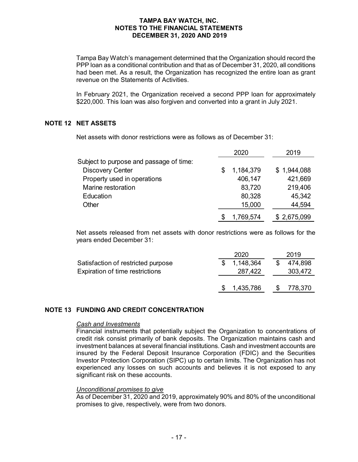### NOTE 12 NET ASSETS

| <b>TAMPA BAY WATCH, INC.</b><br><b>NOTES TO THE FINANCIAL STATEMENTS</b><br><b>DECEMBER 31, 2020 AND 2019</b>                                                                                                                                                                                                 |                        |                    |
|---------------------------------------------------------------------------------------------------------------------------------------------------------------------------------------------------------------------------------------------------------------------------------------------------------------|------------------------|--------------------|
| Tampa Bay Watch's management determined that the Organization should record the<br>PPP loan as a conditional contribution and that as of December 31, 2020, all conditions<br>had been met. As a result, the Organization has recognized the entire loan as grant<br>revenue on the Statements of Activities. |                        |                    |
| In February 2021, the Organization received a second PPP loan for approximately<br>\$220,000. This loan was also forgiven and converted into a grant in July 2021.                                                                                                                                            |                        |                    |
| <b>NET ASSETS</b>                                                                                                                                                                                                                                                                                             |                        |                    |
|                                                                                                                                                                                                                                                                                                               |                        |                    |
| Net assets with donor restrictions were as follows as of December 31:                                                                                                                                                                                                                                         |                        |                    |
|                                                                                                                                                                                                                                                                                                               | 2020                   | 2019               |
| Subject to purpose and passage of time:                                                                                                                                                                                                                                                                       |                        |                    |
| <b>Discovery Center</b>                                                                                                                                                                                                                                                                                       | \$<br>1,184,379        | \$1,944,088        |
| Property used in operations                                                                                                                                                                                                                                                                                   | 406,147                | 421,669            |
| Marine restoration                                                                                                                                                                                                                                                                                            | 83,720                 | 219,406            |
| Education                                                                                                                                                                                                                                                                                                     | 80,328                 | 45,342             |
| Other                                                                                                                                                                                                                                                                                                         | 15,000                 | 44,594             |
|                                                                                                                                                                                                                                                                                                               | \$<br>1,769,574        | \$2,675,099        |
| Net assets released from net assets with donor restrictions were as follows for the<br>years ended December 31:                                                                                                                                                                                               |                        |                    |
|                                                                                                                                                                                                                                                                                                               |                        |                    |
| Satisfaction of restricted purpose                                                                                                                                                                                                                                                                            | 2020                   | 2019<br>\$         |
| <b>Expiration of time restrictions</b>                                                                                                                                                                                                                                                                        | \$1,148,364<br>287,422 | 474,898<br>303,472 |

|                                    | 2020        |  | 2019      |  |
|------------------------------------|-------------|--|-----------|--|
| Satisfaction of restricted purpose | \$1,148,364 |  | \$474.898 |  |
| Expiration of time restrictions    | 287,422     |  | 303,472   |  |
|                                    |             |  |           |  |
|                                    | 1,435,786   |  | \$778,370 |  |

#### NOTE 13 FUNDING AND CREDIT CONCENTRATION

#### **Cash and Investments**

Financial instruments that potentially subject the Organization to concentrations of credit risk consist primarily of bank deposits. The Organization maintains cash and investment balances at several financial institutions. Cash and investment accounts are insured by the Federal Deposit Insurance Corporation (FDIC) and the Securities Investor Protection Corporation (SIPC) up to certain limits. The Organization has not experienced any losses on such accounts and believes it is not exposed to any significant risk on these accounts.

#### Unconditional promises to give

As of December 31, 2020 and 2019, approximately 90% and 80% of the unconditional promises to give, respectively, were from two donors.